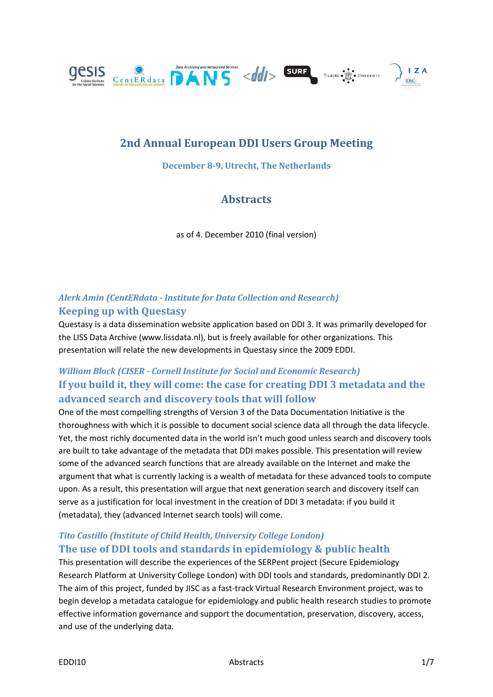

# **2nd Annual European DDI Users Group Meeting**

**December 8-9, Utrecht, The Netherlands**

# **Abstracts**

as of 4. December 2010 (final version)

## *Alerk Amin (CentERdata - Institute for Data Collection and Research)* **Keeping up with Questasy**

Questasy is a data dissemination website application based on DDI 3. It was primarily developed for the LISS Data Archive (www.lissdata.nl), but is freely available for other organizations. This presentation will relate the new developments in Questasy since the 2009 EDDI.

# *William Block (CISER - Cornell Institute for Social and Economic Research)* **If you build it, they will come: the case for creating DDI 3 metadata and the advanced search and discovery tools that will follow**

One of the most compelling strengths of Version 3 of the Data Documentation Initiative is the thoroughness with which it is possible to document social science data all through the data lifecycle. Yet, the most richly documented data in the world isn't much good unless search and discovery tools are built to take advantage of the metadata that DDI makes possible. This presentation will review some of the advanced search functions that are already available on the Internet and make the argument that what is currently lacking is a wealth of metadata for these advanced tools to compute upon. As a result, this presentation will argue that next generation search and discovery itself can serve as a justification for local investment in the creation of DDI 3 metadata: if you build it (metadata), they (advanced Internet search tools) will come.

#### *Tito Castillo (Institute of Child Health, University College London)* **The use of DDI tools and standards in epidemiology & public health**

This presentation will describe the experiences of the SERPent project (Secure Epidemiology Research Platform at University College London) with DDI tools and standards, predominantly DDI 2. The aim of this project, funded by JISC as a fast-track Virtual Research Environment project, was to begin develop a metadata catalogue for epidemiology and public health research studies to promote effective information governance and support the documentation, preservation, discovery, access, and use of the underlying data.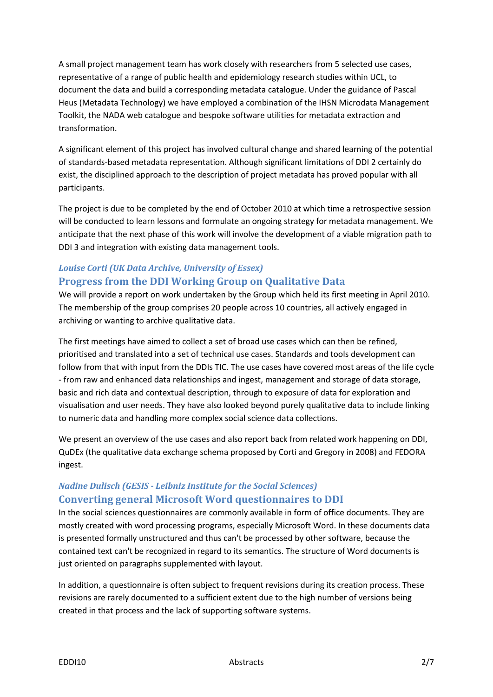A small project management team has work closely with researchers from 5 selected use cases, representative of a range of public health and epidemiology research studies within UCL, to document the data and build a corresponding metadata catalogue. Under the guidance of Pascal Heus (Metadata Technology) we have employed a combination of the IHSN Microdata Management Toolkit, the NADA web catalogue and bespoke software utilities for metadata extraction and transformation.

A significant element of this project has involved cultural change and shared learning of the potential of standards-based metadata representation. Although significant limitations of DDI 2 certainly do exist, the disciplined approach to the description of project metadata has proved popular with all participants.

The project is due to be completed by the end of October 2010 at which time a retrospective session will be conducted to learn lessons and formulate an ongoing strategy for metadata management. We anticipate that the next phase of this work will involve the development of a viable migration path to DDI 3 and integration with existing data management tools.

## *Louise Corti (UK Data Archive, University of Essex)* **Progress from the DDI Working Group on Qualitative Data**

We will provide a report on work undertaken by the Group which held its first meeting in April 2010. The membership of the group comprises 20 people across 10 countries, all actively engaged in archiving or wanting to archive qualitative data.

The first meetings have aimed to collect a set of broad use cases which can then be refined, prioritised and translated into a set of technical use cases. Standards and tools development can follow from that with input from the DDIs TIC. The use cases have covered most areas of the life cycle - from raw and enhanced data relationships and ingest, management and storage of data storage, basic and rich data and contextual description, through to exposure of data for exploration and visualisation and user needs. They have also looked beyond purely qualitative data to include linking to numeric data and handling more complex social science data collections.

We present an overview of the use cases and also report back from related work happening on DDI, QuDEx (the qualitative data exchange schema proposed by Corti and Gregory in 2008) and FEDORA ingest.

### *Nadine Dulisch (GESIS - Leibniz Institute for the Social Sciences)* **Converting general Microsoft Word questionnaires to DDI**

In the social sciences questionnaires are commonly available in form of office documents. They are mostly created with word processing programs, especially Microsoft Word. In these documents data is presented formally unstructured and thus can't be processed by other software, because the contained text can't be recognized in regard to its semantics. The structure of Word documents is just oriented on paragraphs supplemented with layout.

In addition, a questionnaire is often subject to frequent revisions during its creation process. These revisions are rarely documented to a sufficient extent due to the high number of versions being created in that process and the lack of supporting software systems.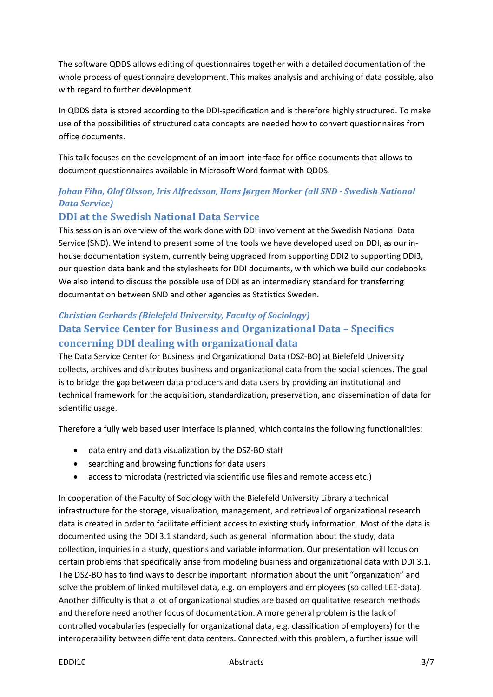The software QDDS allows editing of questionnaires together with a detailed documentation of the whole process of questionnaire development. This makes analysis and archiving of data possible, also with regard to further development.

In QDDS data is stored according to the DDI-specification and is therefore highly structured. To make use of the possibilities of structured data concepts are needed how to convert questionnaires from office documents.

This talk focuses on the development of an import-interface for office documents that allows to document questionnaires available in Microsoft Word format with QDDS.

#### *Johan Fihn, Olof Olsson, Iris Alfredsson, Hans Jørgen Marker (all SND - Swedish National Data Service)*

#### **DDI at the Swedish National Data Service**

This session is an overview of the work done with DDI involvement at the Swedish National Data Service (SND). We intend to present some of the tools we have developed used on DDI, as our inhouse documentation system, currently being upgraded from supporting DDI2 to supporting DDI3, our question data bank and the stylesheets for DDI documents, with which we build our codebooks. We also intend to discuss the possible use of DDI as an intermediary standard for transferring documentation between SND and other agencies as Statistics Sweden.

## *Christian Gerhards (Bielefeld University, Faculty of Sociology)* **Data Service Center for Business and Organizational Data – Specifics concerning DDI dealing with organizational data**

The Data Service Center for Business and Organizational Data (DSZ-BO) at Bielefeld University collects, archives and distributes business and organizational data from the social sciences. The goal is to bridge the gap between data producers and data users by providing an institutional and technical framework for the acquisition, standardization, preservation, and dissemination of data for scientific usage.

Therefore a fully web based user interface is planned, which contains the following functionalities:

- data entry and data visualization by the DSZ-BO staff
- searching and browsing functions for data users
- access to microdata (restricted via scientific use files and remote access etc.)

In cooperation of the Faculty of Sociology with the Bielefeld University Library a technical infrastructure for the storage, visualization, management, and retrieval of organizational research data is created in order to facilitate efficient access to existing study information. Most of the data is documented using the DDI 3.1 standard, such as general information about the study, data collection, inquiries in a study, questions and variable information. Our presentation will focus on certain problems that specifically arise from modeling business and organizational data with DDI 3.1. The DSZ-BO has to find ways to describe important information about the unit "organization" and solve the problem of linked multilevel data, e.g. on employers and employees (so called LEE-data). Another difficulty is that a lot of organizational studies are based on qualitative research methods and therefore need another focus of documentation. A more general problem is the lack of controlled vocabularies (especially for organizational data, e.g. classification of employers) for the interoperability between different data centers. Connected with this problem, a further issue will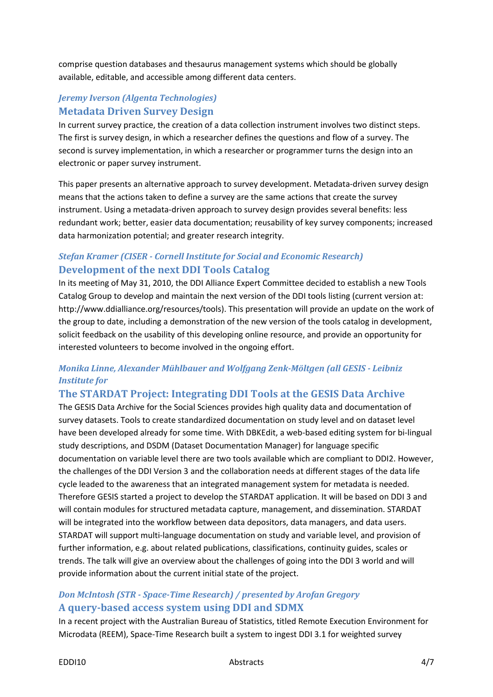comprise question databases and thesaurus management systems which should be globally available, editable, and accessible among different data centers.

### *Jeremy Iverson (Algenta Technologies)* **Metadata Driven Survey Design**

In current survey practice, the creation of a data collection instrument involves two distinct steps. The first is survey design, in which a researcher defines the questions and flow of a survey. The second is survey implementation, in which a researcher or programmer turns the design into an electronic or paper survey instrument.

This paper presents an alternative approach to survey development. Metadata-driven survey design means that the actions taken to define a survey are the same actions that create the survey instrument. Using a metadata-driven approach to survey design provides several benefits: less redundant work; better, easier data documentation; reusability of key survey components; increased data harmonization potential; and greater research integrity.

### *Stefan Kramer (CISER - Cornell Institute for Social and Economic Research)* **Development of the next DDI Tools Catalog**

In its meeting of May 31, 2010, the DDI Alliance Expert Committee decided to establish a new Tools Catalog Group to develop and maintain the next version of the DDI tools listing (current version at: http://www.ddialliance.org/resources/tools). This presentation will provide an update on the work of the group to date, including a demonstration of the new version of the tools catalog in development, solicit feedback on the usability of this developing online resource, and provide an opportunity for interested volunteers to become involved in the ongoing effort.

### *Monika Linne, Alexander Mühlbauer and Wolfgang Zenk-Möltgen (all GESIS - Leibniz Institute for*

### **The STARDAT Project: Integrating DDI Tools at the GESIS Data Archive**

The GESIS Data Archive for the Social Sciences provides high quality data and documentation of survey datasets. Tools to create standardized documentation on study level and on dataset level have been developed already for some time. With DBKEdit, a web-based editing system for bi-lingual study descriptions, and DSDM (Dataset Documentation Manager) for language specific documentation on variable level there are two tools available which are compliant to DDI2. However, the challenges of the DDI Version 3 and the collaboration needs at different stages of the data life cycle leaded to the awareness that an integrated management system for metadata is needed. Therefore GESIS started a project to develop the STARDAT application. It will be based on DDI 3 and will contain modules for structured metadata capture, management, and dissemination. STARDAT will be integrated into the workflow between data depositors, data managers, and data users. STARDAT will support multi-language documentation on study and variable level, and provision of further information, e.g. about related publications, classifications, continuity guides, scales or trends. The talk will give an overview about the challenges of going into the DDI 3 world and will provide information about the current initial state of the project.

### *Don McIntosh (STR - Space-Time Research) / presented by Arofan Gregory* **A query-based access system using DDI and SDMX**

In a recent project with the Australian Bureau of Statistics, titled Remote Execution Environment for Microdata (REEM), Space-Time Research built a system to ingest DDI 3.1 for weighted survey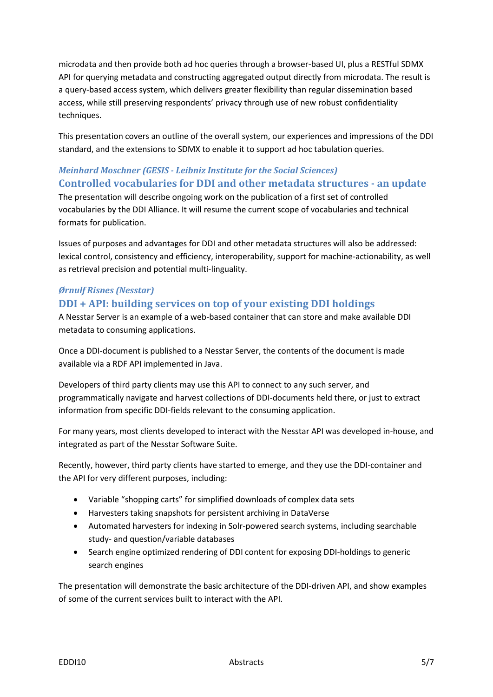microdata and then provide both ad hoc queries through a browser-based UI, plus a RESTful SDMX API for querying metadata and constructing aggregated output directly from microdata. The result is a query-based access system, which delivers greater flexibility than regular dissemination based access, while still preserving respondents' privacy through use of new robust confidentiality techniques.

This presentation covers an outline of the overall system, our experiences and impressions of the DDI standard, and the extensions to SDMX to enable it to support ad hoc tabulation queries.

## *Meinhard Moschner (GESIS - Leibniz Institute for the Social Sciences)* **Controlled vocabularies for DDI and other metadata structures - an update**

The presentation will describe ongoing work on the publication of a first set of controlled vocabularies by the DDI Alliance. It will resume the current scope of vocabularies and technical formats for publication.

Issues of purposes and advantages for DDI and other metadata structures will also be addressed: lexical control, consistency and efficiency, interoperability, support for machine-actionability, as well as retrieval precision and potential multi-linguality.

# *Ørnulf Risnes (Nesstar)*

# **DDI + API: building services on top of your existing DDI holdings**

A Nesstar Server is an example of a web-based container that can store and make available DDI metadata to consuming applications.

Once a DDI-document is published to a Nesstar Server, the contents of the document is made available via a RDF API implemented in Java.

Developers of third party clients may use this API to connect to any such server, and programmatically navigate and harvest collections of DDI-documents held there, or just to extract information from specific DDI-fields relevant to the consuming application.

For many years, most clients developed to interact with the Nesstar API was developed in-house, and integrated as part of the Nesstar Software Suite.

Recently, however, third party clients have started to emerge, and they use the DDI-container and the API for very different purposes, including:

- Variable "shopping carts" for simplified downloads of complex data sets
- Harvesters taking snapshots for persistent archiving in DataVerse
- Automated harvesters for indexing in Solr-powered search systems, including searchable study- and question/variable databases
- Search engine optimized rendering of DDI content for exposing DDI-holdings to generic search engines

The presentation will demonstrate the basic architecture of the DDI-driven API, and show examples of some of the current services built to interact with the API.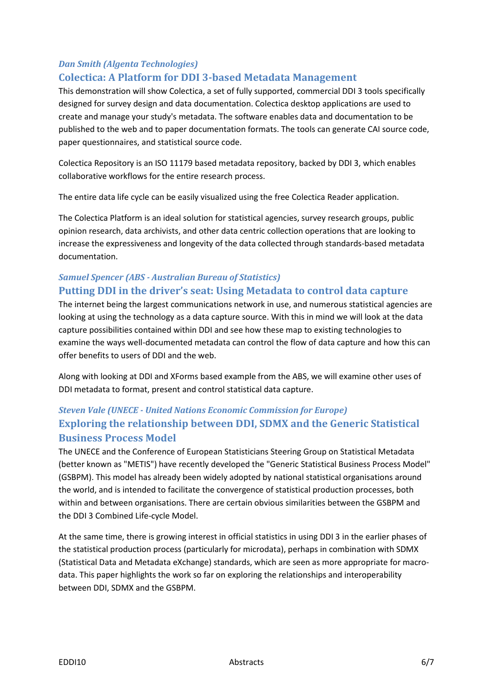#### *Dan Smith (Algenta Technologies)*

#### **Colectica: A Platform for DDI 3-based Metadata Management**

This demonstration will show Colectica, a set of fully supported, commercial DDI 3 tools specifically designed for survey design and data documentation. Colectica desktop applications are used to create and manage your study's metadata. The software enables data and documentation to be published to the web and to paper documentation formats. The tools can generate CAI source code, paper questionnaires, and statistical source code.

Colectica Repository is an ISO 11179 based metadata repository, backed by DDI 3, which enables collaborative workflows for the entire research process.

The entire data life cycle can be easily visualized using the free Colectica Reader application.

The Colectica Platform is an ideal solution for statistical agencies, survey research groups, public opinion research, data archivists, and other data centric collection operations that are looking to increase the expressiveness and longevity of the data collected through standards-based metadata documentation.

### *Samuel Spencer (ABS - Australian Bureau of Statistics)* **Putting DDI in the driver's seat: Using Metadata to control data capture**

The internet being the largest communications network in use, and numerous statistical agencies are looking at using the technology as a data capture source. With this in mind we will look at the data capture possibilities contained within DDI and see how these map to existing technologies to examine the ways well-documented metadata can control the flow of data capture and how this can offer benefits to users of DDI and the web.

Along with looking at DDI and XForms based example from the ABS, we will examine other uses of DDI metadata to format, present and control statistical data capture.

## *Steven Vale (UNECE - United Nations Economic Commission for Europe)* **Exploring the relationship between DDI, SDMX and the Generic Statistical Business Process Model**

The UNECE and the Conference of European Statisticians Steering Group on Statistical Metadata (better known as "METIS") have recently developed the "Generic Statistical Business Process Model" (GSBPM). This model has already been widely adopted by national statistical organisations around the world, and is intended to facilitate the convergence of statistical production processes, both within and between organisations. There are certain obvious similarities between the GSBPM and the DDI 3 Combined Life-cycle Model.

At the same time, there is growing interest in official statistics in using DDI 3 in the earlier phases of the statistical production process (particularly for microdata), perhaps in combination with SDMX (Statistical Data and Metadata eXchange) standards, which are seen as more appropriate for macrodata. This paper highlights the work so far on exploring the relationships and interoperability between DDI, SDMX and the GSBPM.